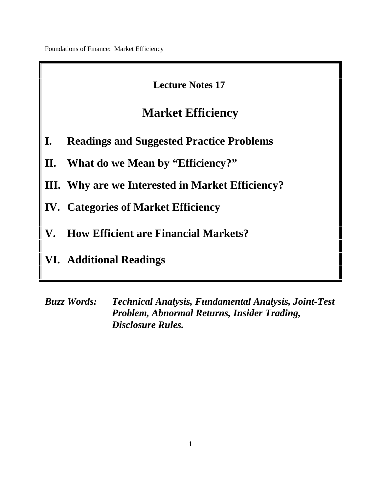# **Lecture Notes 17**

# **Market Efficiency**

- **I. Readings and Suggested Practice Problems**
- **II. What do we Mean by "Efficiency?"**
- **III. Why are we Interested in Market Efficiency?**
- **IV. Categories of Market Efficiency**
- **V. How Efficient are Financial Markets?**
- **VI. Additional Readings**

*Buzz Words: Technical Analysis, Fundamental Analysis, Joint-Test Problem, Abnormal Returns, Insider Trading, Disclosure Rules.*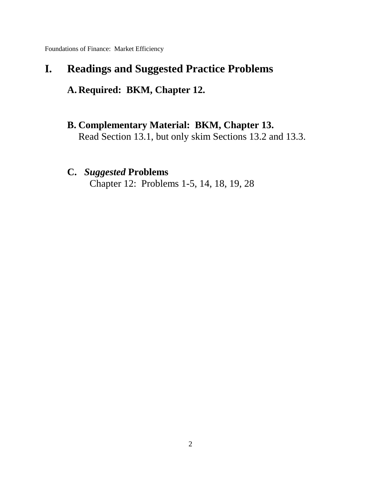# **I. Readings and Suggested Practice Problems A. Required: BKM, Chapter 12.**

- **B. Complementary Material: BKM, Chapter 13.**  Read Section 13.1, but only skim Sections 13.2 and 13.3.
- **C.** *Suggested* **Problems** Chapter 12: Problems 1-5, 14, 18, 19, 28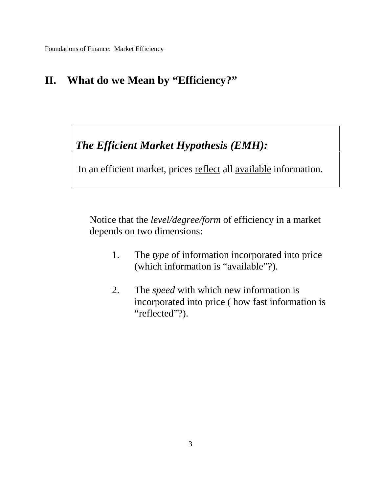# **II. What do we Mean by "Efficiency?"**

# *The Efficient Market Hypothesis (EMH):*

In an efficient market, prices reflect all available information.

Notice that the *level/degree/form* of efficiency in a market depends on two dimensions:

- 1. The *type* of information incorporated into price (which information is "available"?).
- 2. The *speed* with which new information is incorporated into price ( how fast information is "reflected"?).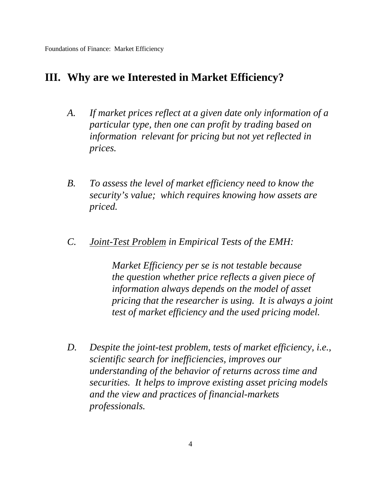## **III. Why are we Interested in Market Efficiency?**

- *A. If market prices reflect at a given date only information of a particular type, then one can profit by trading based on information relevant for pricing but not yet reflected in prices.*
- *B. To assess the level of market efficiency need to know the security's value; which requires knowing how assets are priced.*
- *C. Joint-Test Problem in Empirical Tests of the EMH:*

*Market Efficiency per se is not testable because the question whether price reflects a given piece of information always depends on the model of asset pricing that the researcher is using. It is always a joint test of market efficiency and the used pricing model.*

*D. Despite the joint-test problem, tests of market efficiency, i.e., scientific search for inefficiencies, improves our understanding of the behavior of returns across time and securities. It helps to improve existing asset pricing models and the view and practices of financial-markets professionals.*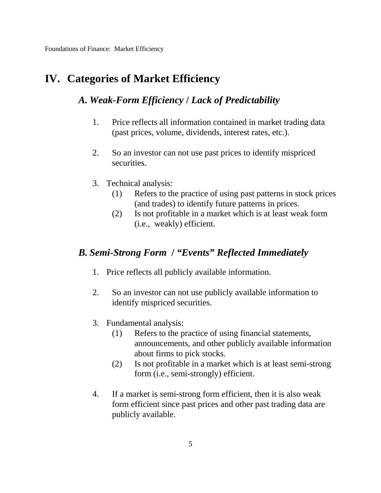# **IV. Categories of Market Efficiency**

## *A. Weak-Form Efficiency* **/** *Lack of Predictability*

- 1. Price reflects all information contained in market trading data (past prices, volume, dividends, interest rates, etc.).
- 2. So an investor can not use past prices to identify mispriced securities.
- 3. Technical analysis:
	- (1) Refers to the practice of using past patterns in stock prices (and trades) to identify future patterns in prices.
	- (2) Is not profitable in a market which is at least weak form (i.e., weakly) efficient.

#### *B. Semi-Strong Form* **/** *"Events" Reflected Immediately*

- 1. Price reflects all publicly available information.
- 2. So an investor can not use publicly available information to identify mispriced securities.
- 3. Fundamental analysis:
	- (1) Refers to the practice of using financial statements, announcements, and other publicly available information about firms to pick stocks.
	- (2) Is not profitable in a market which is at least semi-strong form (i.e., semi-strongly) efficient.
- 4. If a market is semi-strong form efficient, then it is also weak form efficient since past prices and other past trading data are publicly available.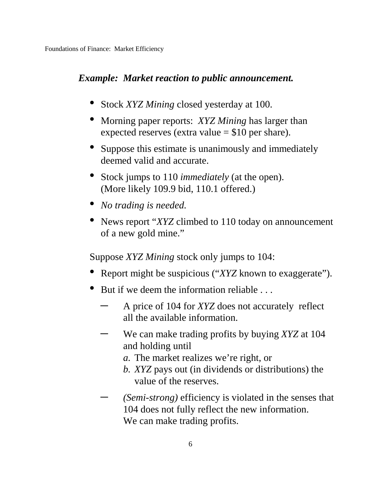## *Example: Market reaction to public announcement.*

- Stock *XYZ Mining* closed yesterday at 100.
- Morning paper reports: *XYZ Mining* has larger than expected reserves (extra value  $= $10$  per share).
- Suppose this estimate is unanimously and immediately deemed valid and accurate.
- Stock jumps to 110 *immediately* (at the open). (More likely 109.9 bid, 110.1 offered.)
- *No trading is needed.*
- News report "*XYZ* climbed to 110 today on announcement of a new gold mine."

Suppose *XYZ Mining* stock only jumps to 104:

- Report might be suspicious ("*XYZ* known to exaggerate").
- But if we deem the information reliable . . .
	- A price of 104 for *XYZ* does not accurately reflect all the available information.
	- We can make trading profits by buying *XYZ* at 104 and holding until
		- *a.* The market realizes we're right, or
		- *b. XYZ* pays out (in dividends or distributions) the value of the reserves.
	- *(Semi-strong)* efficiency is violated in the senses that 104 does not fully reflect the new information. We can make trading profits.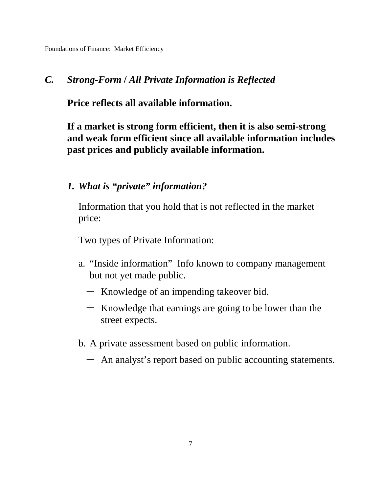## *C. Strong-Form* **/** *All Private Information is Reflected*

**Price reflects all available information.**

**If a market is strong form efficient, then it is also semi-strong and weak form efficient since all available information includes past prices and publicly available information.**

*1. What is "private" information?*

Information that you hold that is not reflected in the market price:

Two types of Private Information:

- a. "Inside information" Info known to company management but not yet made public.
	- Knowledge of an impending takeover bid.
	- Knowledge that earnings are going to be lower than the street expects.
- b. A private assessment based on public information.
	- An analyst's report based on public accounting statements.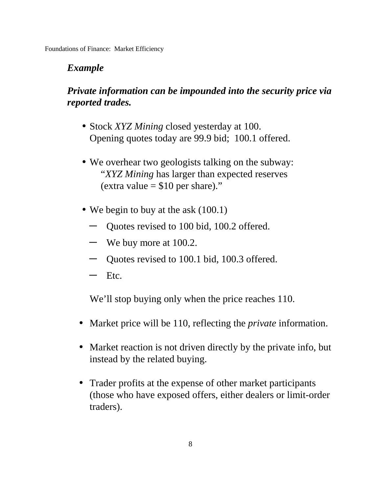## *Example*

# *Private information can be impounded into the security price via reported trades.*

- Stock *XYZ Mining* closed yesterday at 100. Opening quotes today are 99.9 bid; 100.1 offered.
- We overhear two geologists talking on the subway: "*XYZ Mining* has larger than expected reserves (extra value  $= $10$  per share)."
- We begin to buy at the ask (100.1)
	- Quotes revised to 100 bid, 100.2 offered.
	- We buy more at 100.2.
	- Quotes revised to 100.1 bid, 100.3 offered.
	- $-$  Etc.

We'll stop buying only when the price reaches 110.

- Market price will be 110, reflecting the *private* information.
- Market reaction is not driven directly by the private info, but instead by the related buying.
- Trader profits at the expense of other market participants (those who have exposed offers, either dealers or limit-order traders).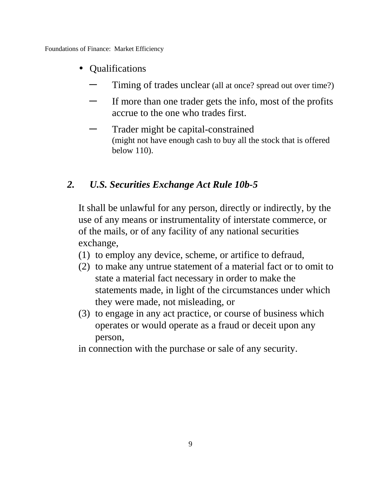- Qualifications
	- Timing of trades unclear (all at once? spread out over time?)
	- If more than one trader gets the info, most of the profits accrue to the one who trades first.
	- Trader might be capital-constrained (might not have enough cash to buy all the stock that is offered below 110).

# *2. U.S. Securities Exchange Act Rule 10b-5*

It shall be unlawful for any person, directly or indirectly, by the use of any means or instrumentality of interstate commerce, or of the mails, or of any facility of any national securities exchange,

- (1) to employ any device, scheme, or artifice to defraud,
- (2) to make any untrue statement of a material fact or to omit to state a material fact necessary in order to make the statements made, in light of the circumstances under which they were made, not misleading, or
- (3) to engage in any act practice, or course of business which operates or would operate as a fraud or deceit upon any person,

in connection with the purchase or sale of any security.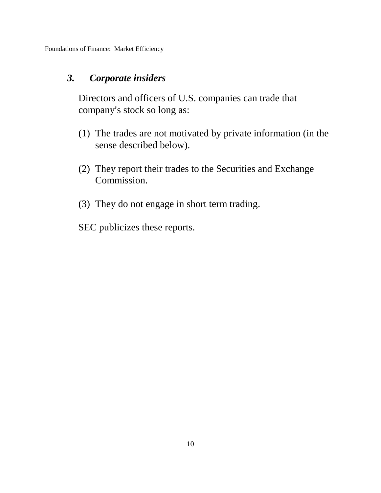#### *3. Corporate insiders*

Directors and officers of U.S. companies can trade that company's stock so long as:

- (1) The trades are not motivated by private information (in the sense described below).
- (2) They report their trades to the Securities and Exchange Commission.
- (3) They do not engage in short term trading.

SEC publicizes these reports.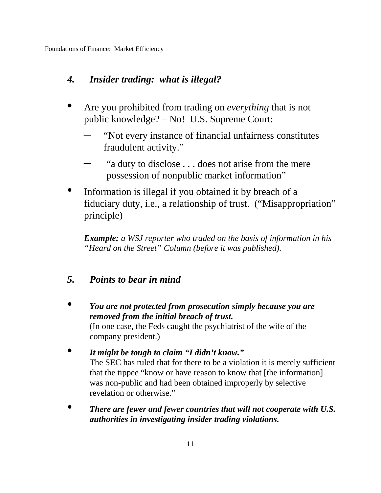## *4. Insider trading: what is illegal?*

- Are you prohibited from trading on *everything* that is not public knowledge? – No! U.S. Supreme Court:
	- "Not every instance of financial unfairness constitutes fraudulent activity."
	- "a duty to disclose . . . does not arise from the mere possession of nonpublic market information"
- Information is illegal if you obtained it by breach of a fiduciary duty, i.e., a relationship of trust. ("Misappropriation" principle)

*Example: a WSJ reporter who traded on the basis of information in his "Heard on the Street" Column (before it was published).*

## *5. Points to bear in mind*

- *You are not protected from prosecution simply because you are removed from the initial breach of trust.* (In one case, the Feds caught the psychiatrist of the wife of the company president.)
- *It might be tough to claim "I didn't know."* The SEC has ruled that for there to be a violation it is merely sufficient that the tippee "know or have reason to know that [the information] was non-public and had been obtained improperly by selective revelation or otherwise."
- *There are fewer and fewer countries that will not cooperate with U.S. authorities in investigating insider trading violations.*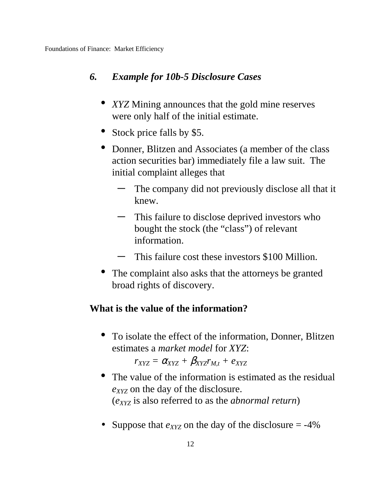#### *6. Example for 10b-5 Disclosure Cases*

- *XYZ* Mining announces that the gold mine reserves were only half of the initial estimate.
- Stock price falls by \$5.
- Donner, Blitzen and Associates (a member of the class action securities bar) immediately file a law suit. The initial complaint alleges that
	- The company did not previously disclose all that it knew.
	- This failure to disclose deprived investors who bought the stock (the "class") of relevant information.
	- This failure cost these investors \$100 Million.
- The complaint also asks that the attorneys be granted broad rights of discovery.

#### **What is the value of the information?**

• To isolate the effect of the information, Donner, Blitzen estimates a *market model* for *XYZ*:

 $r_{XYZ} = \alpha_{XYZ} + \beta_{XYZ}r_{M,t} + e_{XYZ}$ 

- The value of the information is estimated as the residual *eXYZ* on the day of the disclosure. (*eXYZ* is also referred to as the *abnormal return*)
- Suppose that  $e_{XYZ}$  on the day of the disclosure  $=$  -4%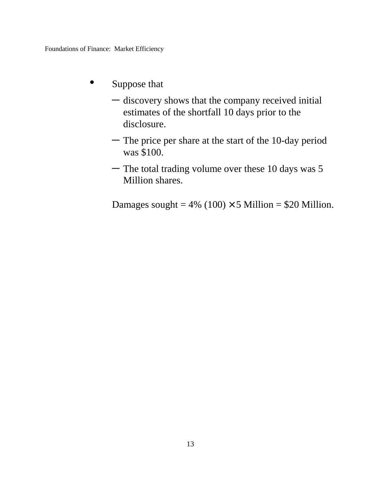- Suppose that
	- discovery shows that the company received initial estimates of the shortfall 10 days prior to the disclosure.
	- The price per share at the start of the 10-day period was \$100.
	- The total trading volume over these 10 days was 5 Million shares.

Damages sought = 4% (100)  $\times$  5 Million = \$20 Million.